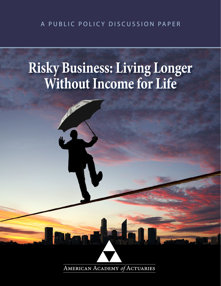# **Risky Business: Living Longer Without Income for Life**



AMERICAN ACADEMY of ACTUARIES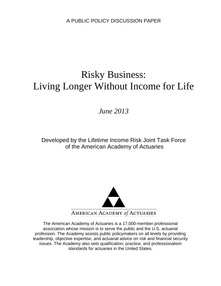# Risky Business: Living Longer Without Income for Life

# *June 2013*

Developed by the Lifetime Income Risk Joint Task Force of the American Academy of Actuaries



The American Academy of Actuaries is a 17,000-member professional association whose mission is to serve the public and the U.S. actuarial profession. The Academy assists public policymakers on all levels by providing leadership, objective expertise, and actuarial advice on risk and financial security issues. The Academy also sets qualification, practice, and professionalism standards for actuaries in the United States.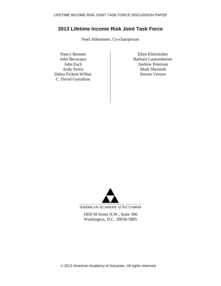# **2013 Lifetime Income Risk Joint Task Force**

Noel Abkemeier, Co-chairperson

Debra Fickett-Wilbar C. David Gustafson

Nancy Bennett<br>
Iohn Bevacqua<br>
Ellen Kleinstuber<br>
Barbara Lautzenheis Barbara Lautzenheiser John Esch Andrew Peterson Andy Ferris Mark Shemtob<br>
Fa Fickett-Wilbar Steven Vernon



AMERICAN ACADEMY of ACTUARIES

1850 M Street N.W., Suite 300 Washington, D.C. 20036-5805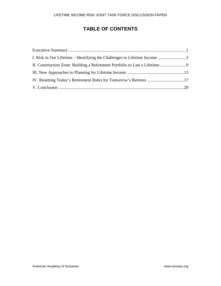# **TABLE OF CONTENTS**

| I. Risk in Our Lifetime – Identifying the Challenges to Lifetime Income 3 |  |
|---------------------------------------------------------------------------|--|
|                                                                           |  |
|                                                                           |  |
|                                                                           |  |
|                                                                           |  |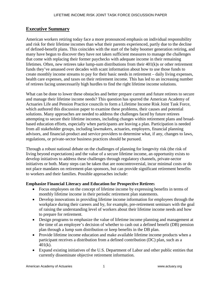# **Executive Summary**

American workers retiring today face a more pronounced emphasis on individual responsibility and risk for their lifetime incomes than what their parents experienced, partly due to the decline of defined-benefit plans. This coincides with the start of the baby boomer generation retiring, and many have begun to discover they have not taken sufficient measures to manage the challenges that come with replacing their former paychecks with adequate income in their remaining lifetimes. Often, new retirees take lump-sum distributions from their  $401(k)$ s or other retirement funds they've amassed over decades with scant information about how to use those funds to create monthly income streams to pay for their basic needs in retirement – daily living expenses, health care expenses, and taxes on their retirement income. This has led to an increasing number of retirees facing unnecessarily high hurdles to find the right lifetime income solutions.

What can be done to lower these obstacles and better prepare current and future retirees to secure and manage their lifetime income needs? This question has spurred the American Academy of Actuaries Life and Pension Practice councils to form a Lifetime Income Risk Joint Task Force, which authored this discussion paper to examine these problems, their causes and potential solutions. Many approaches are needed to address the challenges faced by future retirees attempting to secure their lifetime incomes, including changes within retirement plans and broadbased education efforts, especially when participants are leaving a plan. Participation is needed from all stakeholder groups, including lawmakers, actuaries, employers, financial planning advisors, and financial-product and service providers to determine what, if any, changes to laws, regulations, or private-sector business practices should be pursued.

Through a robust national debate on the challenges of planning for longevity risk (the risk of living beyond expectations) and the value of a secure lifetime income, an opportunity exists to develop initiatives to address these challenges through regulatory channels, private-sector initiatives or both. Many steps can be taken that are noncontroversial, incur minimal costs or do not place mandates on retirement-plan sponsors, but can provide significant retirement benefits to workers and their families. Possible approaches include:

#### **Emphasize Financial Literacy and Education for Prospective Retiree**s

- Focus employees on the concept of lifetime income by expressing benefits in terms of monthly lifetime income in their periodic retirement plan statements.
- Develop innovations in providing lifetime income information for employees through the workplace during their careers and by, for example, pre-retirement seminars with the goal of raising the understanding level of workers about their lifetime income needs and how to prepare for retirement.
- Design programs to emphasize the value of lifetime income planning and management at the time of an employee's decision of whether to cash out a defined benefit (DB) pension plan through a lump sum distribution or keep benefits in the DB plan.
- Provide lifetime income education and make available lifetime income products when a participant receives a distribution from a defined contribution (DC) plan, such as a 401(k).
- Expand existing initiatives of the U.S. Department of Labor and other public entities that currently disseminate objective retirement information.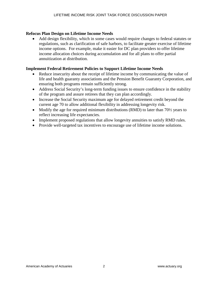#### **Refocus Plan Design on Lifetime Income Needs**

• Add design flexibility, which in some cases would require changes to federal statutes or regulations, such as clarification of safe harbors, to facilitate greater exercise of lifetime income options. For example, make it easier for DC plan providers to offer lifetime income allocation choices during accumulation and for all plans to offer partial annuitization at distribution.

#### **Implement Federal Retirement Policies to Support Lifetime Income Needs**

- Reduce insecurity about the receipt of lifetime income by communicating the value of life and health guaranty associations and the Pension Benefit Guaranty Corporation, and ensuring both programs remain sufficiently strong.
- Address Social Security's long-term funding issues to ensure confidence in the stability of the program and assure retirees that they can plan accordingly.
- Increase the Social Security maximum age for delayed retirement credit beyond the current age 70 to allow additional flexibility in addressing longevity risk.
- Modify the age for required minimum distributions (RMD) to later than 70<sup>1/2</sup> years to reflect increasing life expectancies.
- Implement proposed regulations that allow longevity annuities to satisfy RMD rules.
- Provide well-targeted tax incentives to encourage use of lifetime income solutions.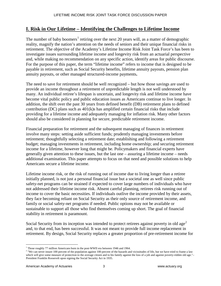# **I. Risk in Our Lifetime – Identifying the Challenges to Lifetime Income**

The number of baby boomers<sup>[1](#page-6-0)</sup> retiring over the next 20 years will, as a matter of demographic reality, magnify the nation's attention on the needs of seniors and their unique financial risks in retirement. The objective of the Academy's Lifetime Income Risk Joint Task Force's has been to investigate issues surrounding lifetime income and longevity risk from an actuarial perspective and, while making no recommendation on any specific action, identify areas for public discourse. For the purpose of this paper, the term "lifetime income" refers to income that is designed to be payable in retirement, such as Social Security benefits, lifetime annuity payouts, pension plan annuity payouts, or other managed structured-income payments**.** 

The need to save for retirement should be well recognized – but how those savings are used to provide an income throughout a retirement of unpredictable length is not well understood by many. An individual retiree's lifespan is uncertain, and longevity risk and lifetime income have become vital public policy and public education issues as Americans continue to live longer. In addition, the shift over the past 30 years from defined benefit (DB) retirement plans to defined contribution (DC) plans such as  $401(k)$ s has amplified certain financial risks that include providing for a lifetime income and adequately managing for inflation risk. Many other factors should also be considered in planning for secure, predictable retirement income.

Financial preparation for retirement and the subsequent managing of finances in retirement involve many steps: setting aside sufficient funds; prudently managing investments before retirement; thoughtfully selecting a retirement date; establishing and following a retirement budget; managing investments in retirement, including home ownership; and securing retirement income for a lifetime, however long that might be. Policymakers and financial experts have generally given attention to these issues, but the last one – assuring a lifetime income – needs additional examination. This paper attempts to focus on that need and possible solutions to help Americans secure a lifetime income.

Lifetime income risk, or the risk of running out of income due to living longer than a retiree initially planned, is not just a personal financial issue but a societal one as well since public safety-net programs can be strained if expected to cover large numbers of individuals who have not addressed their lifetime income risk. Absent careful planning, retirees risk running out of income to cover the basic necessities. If individuals outlive the income provided by their assets, they face becoming reliant on Social Security as their only source of retirement income, and family or social safety-net programs if needed. Public options may not be available or sustainable to support all those who find themselves coming up short. The goal of financial stability in retirement is paramount.

Social Security from its inception was intended to protect retirees against poverty in old age<sup>[2](#page-6-1)</sup> and, to that end, has been successful. It was not meant to provide full income replacement in retirement. By design, Social Security replaces a greater proportion of pre-retirement income for

<sup>&</sup>lt;sup>1</sup> Those roughly 77 million Americans born in the post-WWII era between 1946 and 1964.

<span id="page-6-1"></span><span id="page-6-0"></span><sup>&</sup>lt;sup>2</sup> "We can never insure 100 percent of the population against 100 percent of the hazards and vicissitudes of life, but we have tried to frame a law which will give some measure of protection to the average citizen and to his family against the loss of a job and against poverty-ridden old age."-President Franklin Roosevelt upon signing the Social Security Act in 1935.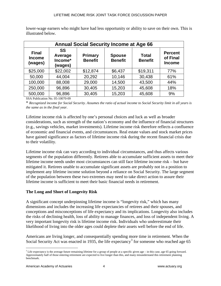| lower-wage earners who might have had less opportunity or ability to save on their own. This is |  |  |  |  |
|-------------------------------------------------------------------------------------------------|--|--|--|--|
| illustrated below.                                                                              |  |  |  |  |

| <b>Annual Social Security Income at Age 66</b> |                                            |                           |                                 |                                |                                             |  |  |
|------------------------------------------------|--------------------------------------------|---------------------------|---------------------------------|--------------------------------|---------------------------------------------|--|--|
| <b>Final</b><br><b>Income</b><br>(wages)       | <b>SS</b><br>Average<br>Income*<br>(wages) | Primary<br><b>Benefit</b> | <b>Spouse</b><br><b>Benefit</b> | <b>Total</b><br><b>Benefit</b> | <b>Percent</b><br>of Final<br><b>Income</b> |  |  |
| \$25,000                                       | \$22,002                                   | \$12,874                  | \$6,437                         | \$19,311                       | 77%                                         |  |  |
| 50,000                                         | 44,004                                     | 20,292                    | 10,146                          | 30,438                         | 61%                                         |  |  |
| 100,000                                        | 88,008                                     | 29,000                    | 14,500                          | 43,500                         | 44%                                         |  |  |
| 250,000                                        | 96,896                                     | 30,405                    | 15,203                          | 45,608                         | 18%                                         |  |  |
| 500,000                                        | 96,896                                     | 30,405                    | 15,203                          | 45,608                         | 9%                                          |  |  |

SSA Publication No. 05-10070-09

\* *Recognized income for Social Security. Assumes the ratio of actual income to Social Security limit in all years is the same as in the final year.*

Lifetime income risk is affected by one's personal choices and luck as well as broader considerations, such as strength of the nation's economy and the influence of financial structures (e.g., savings vehicles, market investments). Lifetime income risk therefore reflects a confluence of economic and financial events, and circumstances. Real estate values and stock market prices have gained significance as factors of lifetime income risk during the recent financial crisis due to their volatility.

Lifetime income risk can vary according to individual circumstances, and thus affects various segments of the population differently. Retirees able to accumulate sufficient assets to meet their lifetime income needs under most circumstances can still face lifetime income risk – but have mitigated it. Retirees unable to accumulate significant assets are probably not in a position to implement any lifetime income solution beyond a reliance on Social Security. The large segment of the population between these two extremes may need to take direct action to assure their lifetime income is sufficient to meet their basic financial needs in retirement.

# **The Long and Short of Longevity Risk**

A significant concept underpinning lifetime income is "longevity risk," which has many dimensions and includes the increasing life expectancies of retirees and their spouses, and conceptions and misconceptions of life expectancy and its implications. Longevity also includes the risks of declining health, loss of ability to manage finances, and loss of independent living. A very important longevity risk is lifetime income risk. Individuals who underestimate their likelihood of living into the older ages could deplete their assets well before the end of life.

Americans are living longer, and consequentially spending more time in retirement. When the Social Security Act was enacted in 19[3](#page-7-0)5, the life expectancy<sup>3</sup> for someone who reached age 65

<span id="page-7-0"></span> $3$  Life expectancy is the average future remaining lifetime for a group of people at a specific given age – in this case, age 65 going forward. Approximately half of those entering retirement are expected to live longer than this, and many misunderstand this retirement planning benchmark.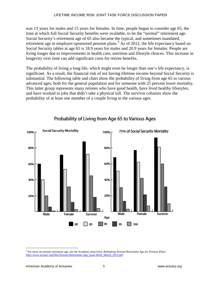was 13 years for males and 15 years for females. In time, people began to consider age 65, the time at which full Social Security benefits were available, to be the "normal" retirement age. Social Security's retirement age of 65 also became the typical, and sometimes mandated, retirement age in employer-sponsored pension plans.<sup>[4](#page-8-0)</sup> As of 2012, the life expectancy based on Social Security tables at age 65 is 18.9 years for males and 20.9 years for females. People are living longer due to improvements in health care, nutrition and lifestyle choices. This increase in longevity over time can add significant costs for retiree benefits.

The probability of living a long life, which might even be longer than one's life expectancy, is significant. As a result, the financial risk of not having lifetime income beyond Social Security is substantial. The following table and chart show the probability of living from age 65 to various advanced ages, both for the general population and for someone with 25 percent lower mortality. This latter group represents many retirees who have good health, have lived healthy lifestyles, and have worked in jobs that didn't take a physical toll. The survivor columns show the probability of at least one member of a couple living to the various ages.



# Probability of Living from Age 65 to Various Ages

<span id="page-8-0"></span> <sup>4</sup> For more on normal retirement age, see the Academy issue brief, *Rethinking Normal Retirement Age for Pension Plans*: [http://www.actuary.org/files/Normal-Retirement-Age\\_Issue-Brief\\_March\\_2013.pdf.](http://www.actuary.org/files/Normal-Retirement-Age_Issue-Brief_March_2013.pdf)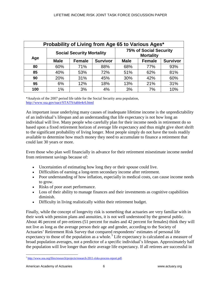| Probability of Living from Age 65 to Various Ages* |             |               |                 |                                                   |               |                 |  |
|----------------------------------------------------|-------------|---------------|-----------------|---------------------------------------------------|---------------|-----------------|--|
| <b>Social Security Mortality</b>                   |             |               |                 | <b>75% of Social Security</b><br><b>Mortality</b> |               |                 |  |
| Age                                                | <b>Male</b> | <b>Female</b> | <b>Survivor</b> | <b>Male</b>                                       | <b>Female</b> | <b>Survivor</b> |  |
| 80                                                 | 60%         | 71%           | 88%             | 68%                                               | 77%           | 93%             |  |
| 85                                                 | 40%         | 53%           | 72%             | 51%                                               | 62%           | 81%             |  |
| 90                                                 | 20%         | 31%           | 45%             | 30%                                               | 42%           | 60%             |  |
| 95                                                 | 6%          | 12%           | 18%             | 13%                                               | 21%           | 31%             |  |
| 100                                                | 1%          | 3%            | 4%              | 3%                                                | 7%            | 10%             |  |

\*Analysis of the 2007 period life table for the Social Security area population, <http://www.ssa.gov/oact/STATS/table4c6.html>

An important issue underlying many causes of inadequate lifetime income is the unpredictability of an individual's lifespan and an understanding that life expectancy is not how long an individual will live. Many people who carefully plan for their income needs in retirement do so based upon a fixed retirement horizon of average life expectancy and thus might give short shrift to the significant probability of living longer. Most people simply do not have the tools readily available to determine how much money they need to accumulate to finance a retirement that could last 30 years or more.

Even those who plan well financially in advance for their retirement misestimate income needed from retirement savings because of:

- Uncertainties of estimating how long they or their spouse could live.
- Difficulties of earning a long-term secondary income after retirement.
- Poor understanding of how inflation, especially in medical costs, can cause income needs to grow.
- Risks of poor asset performance.
- Loss of their ability to manage finances and their investments as cognitive capabilities diminish.
- Difficulty in living realistically within their retirement budget.

Finally, while the concept of longevity risk is something that actuaries are very familiar with in their work with pension plans and annuities, it is not well understood by the general public. About 46 percent of pre-retirees (51 percent for males and 42 percent for females) think they will not live as long as the average person their age and gender, according to the Society of Actuaries' Retirement Risk Survey that compared respondents' estimates of personal life expectancy to those of the population as a whole.<sup>[5](#page-9-0)</sup> Life expectancy is calculated as a measure of broad population averages, not a predictor of a specific individual's lifespan. Approximately half the population will live longer than their average life expectancy. If all retirees are successful in

<span id="page-9-0"></span> <sup>5</sup> [http://www.soa.org/files/research/projects/research-2011-risks-process-report.pdf.](http://www.soa.org/files/research/projects/research-2011-risks-process-report.pdf)

American Academy of Actuaries **6** and **6** and **6** www.actuary.org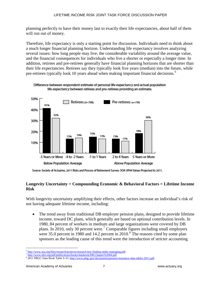planning perfectly to have their money last to exactly their life expectancies, about half of them will run out of money.

Therefore, life expectancy is only a starting point for discussion. Individuals need to think about a much longer financial planning horizon. Understanding life expectancy involves analyzing several issues: how long people may live, the considerable variability around the average value, and the financial consequences for individuals who live a shorter or especially a longer time. In addition, retirees and pre-retirees generally have financial planning horizons that are shorter than their life expectancies. Retirees say they typically look five years (median) into the future, while pre-retirees typically look 10 years ahead when making important financial decisions.<sup>[6](#page-10-0)</sup>





Source: Society of Actuaries, 2011 Risks and Process of Retirement Survey: SOA UP94 Values Projected to 2011.

#### **Longevity Uncertainty + Compounding Economic & Behavioral Factors = Lifetime Income Risk**

With longevity uncertainty amplifying their effects, other factors increase an individual's risk of not having adequate lifetime income, including:

• The trend away from traditional DB employer pension plans, designed to provide lifetime income, toward DC plans, which generally are based on optional contribution levels. In 1980, 84 percent of workers in medium and large organizations were covered by DB plans. In 2010, only 30 percent were.[7](#page-10-1) Comparable figures including small employers were 35.0 percent in 19[8](#page-10-2)0 and 14.2 percent in  $2010$ .<sup>8</sup> The reasons cited by some plan sponsors as the leading cause of this trend were the introduction of stricter accounting

<span id="page-10-0"></span><sup>&</sup>lt;sup>6</sup> [http://www.soa.org/files/research/projects/research-key-finding-under-managing.pdf.](http://www.soa.org/files/research/projects/research-key-finding-under-managing.pdf)<br><sup>7</sup> http://www.ebri.org/<u>pdf/publications/books/databook/DB.Chapter%2004.pdf</u>.

<span id="page-10-2"></span><span id="page-10-1"></span><sup>&</sup>lt;sup>8</sup> 2011 PBGC Data Book Table S-33[: http://www.pbgc.gov/documents/pension-insurance-data-tables-2011.pdf.](http://www.pbgc.gov/documents/pension-insurance-data-tables-2011.pdf)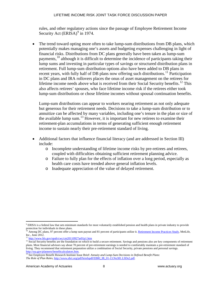rules, and other regulatory actions since the passage of Employee Retirement Income Security Act (ERISA)<sup>[9](#page-11-0)</sup> in 1974.

The trend toward opting more often to take lump-sum distributions from DB plans, which potentially makes managing one's assets and budgeting expenses challenging in light of financial risks. Distributions from DC plans generally have been taken as lump-sum payments,  $^{10}$  $^{10}$  $^{10}$  although it is difficult to determine the incidence of participants taking their lump sums and investing in particular types of savings or structured distribution plans in retirement. Full lump-sum distribution options also have been added to DB plans in recent years, with fully half of DB plans now offering such distributions.<sup>[11](#page-11-2)</sup> Participation in DC plans and IRA rollovers places the onus of asset management on the retirees for lifetime income needs above what is received from their Social Security benefits.<sup>[12](#page-11-3)</sup> This also affects retirees' spouses, who face lifetime income risk if the retirees either took lump-sum distributions or chose lifetime incomes without spousal continuation benefits.

Lump-sum distributions can appear to workers nearing retirement as not only adequate but generous for their retirement needs. Decisions to take a lump-sum distribution or to annuitize can be affected by many variables, including one's tenure in the plan or size of the available lump sum.<sup>[13](#page-11-4)</sup> However, it is important for new retirees to examine their retirement-plan accumulations in terms of generating sufficient enough retirement income to sustain nearly their pre-retirement standard of living.

- Additional factors that influence financial literacy (and are addressed in Section III) include:
	- o Incomplete understanding of lifetime income risks by pre-retirees and retirees, coupled with difficulties obtaining sufficient retirement planning advice.
	- o Failure to fully plan for the effects of inflation over a long period, especially as health care costs have trended above general inflation levels.
	- o Inadequate appreciation of the value of delayed retirement.

<span id="page-11-0"></span> $9$  ERISA is a federal law that sets minimum standards for most voluntarily established pension and health plans in private industry to provide protection for individuals in these plans.

<span id="page-11-1"></span><sup>&</sup>lt;sup>10</sup> Among DC plans, 97 percent offer a lump sum payout and 81 percent of participants utilize it[. Retirement Income Practices Study,](https://www.metlife.com/business/retirement-and-benefits/income-practices.html?WT.mc_id=vu1560) MetLife, Inc., June 2012.

<sup>11</sup> <http://www.bls.gov/opub/cwc/cm20110927ar01p1.htm>

<span id="page-11-3"></span><span id="page-11-2"></span><sup>&</sup>lt;sup>12</sup> Social Security benefits are the foundation on which to build a secure retirement. Savings and pensions also are key components of retirement plans. Most financial advisors say about 70 percent of pre-retirement earnings is needed to comfortably maintain a pre-retirement standard of living. They recommend that retirement preparation utilize a combination of Social Security, private pensions and personal savings. [http://ssa.gov/planners/benefitcalculators.htm.](http://ssa.gov/planners/benefitcalculators.htm)

<span id="page-11-4"></span><sup>13</sup> See Employee Benefit Research Institute Issue Brief: *Annuity and Lump-Sum Decisions in Defined Benefit Plans*: *The Role of Plan Rules*, [http://www.ebri.org/pdf/briefspdf/EBRI\\_IB\\_01-13.No381.LSDs2.pdf.](http://www.ebri.org/pdf/briefspdf/EBRI_IB_01-13.No381.LSDs2.pdf)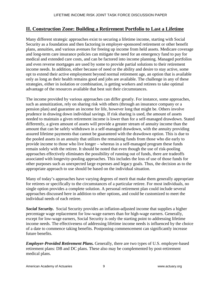# **II. Construction Zone: Building a Retirement Portfolio to Last a Lifetime**

Many different strategic approaches exist to securing a lifetime income, starting with Social Security as a foundation and then factoring in employer-sponsored retirement or other benefit plans, annuities, and various avenues for freeing up income from held assets. Medicare coverage and long-term care insurance policies can mitigate the need for an emergency fund to pay for medical and extended care costs, and can be factored into income planning. Managed portfolios and even reverse mortgages are used by some to provide partial solutions to their retirement income needs. In addition, either because of need or the ability and desire to stay active, some opt to extend their active employment beyond normal retirement age, an option that is available only as long as their health remains good and jobs are available. The challenge in any of these strategies, either in isolation or combination, is getting workers and retirees to take optimal advantage of the resources available that best suit their circumstances.

The income provided by various approaches can differ greatly. For instance, some approaches, such as annuitization, rely on sharing risk with others (through an insurance company or a pension plan) and guarantee an income for life, however long that might be. Others involve prudence in drawing down individual savings. If risk sharing is used, the amount of assets needed to maintain a given retirement income is lower than for a self-managed drawdown. Stated differently, a given amount of assets will provide a greater stream of annuity income than the amount that can be safely withdrawn in a self-managed drawdown, with the annuity providing assured lifetime payments that cannot be guaranteed with the drawdown option. This is due to the pooled assets in an annuity that utilizes the remaining funds from those who die early to provide income to those who live longer – whereas in a self-managed program these funds remain solely with the retiree. It should be noted that even though the use of risk-pooling approaches effectively eliminates the possibility of running out of funds, there are tradeoffs associated with longevity-pooling approaches. This includes the loss of use of those funds for other purposes such as unexpected large expenses and legacy goals. Thus, the decision as to the appropriate approach to use should be based on the individual situation.

Many of today's approaches have varying degrees of merit that make them generally appropriate for retirees or specifically to the circumstances of a particular retiree. For most individuals, no single option provides a complete solution. A personal retirement plan could include several approaches discussed here in addition to other options, and could be customized to meet the individual needs of each retiree.

*Social Security.* Social Security provides an inflation-adjusted income that supplies a higher percentage wage replacement for low-wage earners than for high-wage earners. Generally, except for low-wage earners, Social Security is only the starting point to addressing lifetime income needs. The effectiveness of addressing lifetime income needs is influenced by the choice of a date to commence taking benefits. Postponing commencement can significantly increase future benefits.

*Employer-Provided Retirement Plans.* Generally, there are two types of U.S. employer-based retirement plans: DB and DC plans. These also may be complemented by post-retirement medical plans.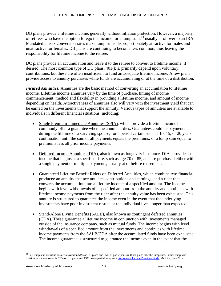DB plans provide a lifetime income, generally without inflation protection. However, a majority of retirees who have the option forego the income for a lump sum,[14](#page-13-0) usually a rollover to an IRA. Mandated unisex conversion rates make lump sums disproportionately attractive for males and unattractive for females. DB plans are continuing to become less common, thus leaving the responsibility for lifetime income to the retiree.

DC plans provide an accumulation and leave it to the retiree to convert to lifetime income, if desired. The most common type of DC plans, 401(k)s, primarily depend upon voluntary contributions, but these are often insufficient to fund an adequate lifetime income. A few plans provide access to annuity purchases while funds are accumulating or at the time of a distribution.

*Insured Annuities.* Annuities are the basic method of converting an accumulation to lifetime income. Lifetime income annuities vary by the time of purchase, timing of income commencement, method and flexibility in providing a lifetime income, and amount of income depending on health. Attractiveness of annuities also will vary with the investment yield that can be earned on the investments that support the annuity. Various types of annuities are available to individuals in different financial situations, including:

- Single Premium Immediate Annuities (SPIA), which provide a lifetime income but commonly offer a guarantee when the annuitant dies. Guarantees could be payments during the lifetime of a surviving spouse; for a period certain such as 10, 15, or 20 years; continuation until the sum of all payments equals the premiums; or a lump sum equal to premiums less all prior income payments.
- Deferred Income Annuities (DIA), also known as longevity insurance. DIAs provide an income that begins at a specified date, such as age 70 or 85, and are purchased either with a single payment or multiple payments, usually at or before retirement.
- Guaranteed Lifetime Benefit Riders on Deferred Annuities, which combine two financial products: an annuity that accumulates contributions and earnings, and a rider that converts the accumulation into a lifetime income of a specified amount. The income begins with level withdrawals of a specified amount from the annuity and continues with lifetime income payments from the rider after the annuity value has been exhausted. This annuity is structured to guarantee the income even in the event that the underlying investments have poor investment results or the individual lives longer than expected.
- Stand-Alone Living Benefits (SALB), also known as contingent deferred annuities (CDA). These guarantee a lifetime income in conjunction with investments managed outside of the insurance company, such as mutual funds. The income begins with level withdrawals of a specified amount from the investments and continues with lifetime income payments from the SALB/CDA after the accumulated funds have been exhausted. The income guarantee is structured to guarantee the income even in the event that the

<span id="page-13-0"></span><sup>&</sup>lt;sup>14</sup> Full lump sum distributions are allowed in 54% of DB plans and 65% of participants in those plans take the lump sum. Partial lump sum distributions are allowed in 25% of DB plans and 13% take a partial lump sum[. Retirement Income Practices Study,](https://www.metlife.com/business/retirement-and-benefits/income-practices.html?WT.mc_id=vu1560) MetLife, June 2012.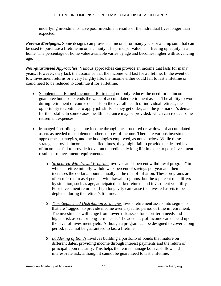underlying investments have poor investment results or the individual lives longer than expected.

*Reverse Mortgages.* Some designs can provide an income for many years or a lump sum that can be used to purchase a lifetime income annuity. The principal value is in freeing up equity in a home. The percentage of home value available varies by age and becomes higher with advancing age.

*Non-guaranteed Approaches.* Various approaches can provide an income that lasts for many years. However, they lack the assurance that the income will last for a lifetime. In the event of low investment returns or a very lengthy life, the income either could fail to last a lifetime or could need to be reduced to continue it for a lifetime.

- Supplemental Earned Income in Retirement not only reduces the need for an income guarantee but also extends the value of accumulated retirement assets. The ability to work during retirement of course depends on the overall health of individual retirees, the opportunity to continue to apply job skills as they get older, and the job market's demand for their skills. In some cases, health insurance may be provided, which can reduce some retirement expenses.
- Managed Portfolios generate income through the structured draw down of accumulated assets as needed to supplement other sources of income. There are various investment approaches, strategies, and methodologies employed, as noted below. While these strategies provide income at specified times, they might fail to provide the desired level of income or fail to provide it over an unpredictably long lifetime due to poor investment results or reinvestment requirements.
	- o *Structured Withdrawal Program* involves an "x percent withdrawal program" in which a retiree initially withdraws x percent of savings per year and then increases the dollar amount annually at the rate of inflation. These programs are often referred to as 4 percent withdrawal programs, but the x percent rate differs by situation, such as age, anticipated market returns, and investment volatility. Poor investment returns or high longevity can cause the invested assets to be depleted during the retiree's lifetime.
	- o *Time-Segmented Distribution Strategies* divide retirement assets into segments that are "tagged" to provide income over a specific period of time in retirement. The investments will range from lower-risk assets for short-term needs and higher-risk assets for long-term needs. The adequacy of income can depend upon the level of investment yield. Although a program can be designed to cover a long period, it cannot be guaranteed to last a lifetime.
	- o *Laddering of Bonds* involves building a portfolio of bonds that mature on different dates, providing income through interest payments and the return of principal upon maturity. This helps the retiree manage both cash flow and interest-rate risk, although it cannot be guaranteed to last a lifetime.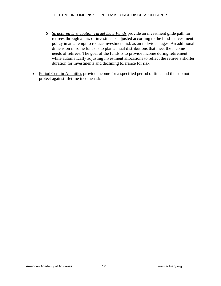- o *Structured Distribution Target Date Funds* provide an investment glide path for retirees through a mix of investments adjusted according to the fund's investment policy in an attempt to reduce investment risk as an individual ages. An additional dimension in some funds is to plan annual distributions that meet the income needs of retirees. The goal of the funds is to provide income during retirement while automatically adjusting investment allocations to reflect the retiree's shorter duration for investments and declining tolerance for risk.
- Period Certain Annuities provide income for a specified period of time and thus do not protect against lifetime income risk.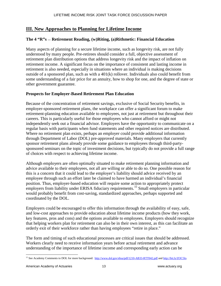# **III. New Approaches to Planning for Lifetime Income**

# **The 4 "R"s — Retirement Reading, (w)Riting, (a)Rithmetic: Financial Education**

Many aspects of planning for a secure lifetime income, such as longevity risk, are not fully understood by many people. Pre-retirees should consider a full, objective assessment of retirement plan distribution options that address longevity risk and the impact of inflation on retirement income. A significant focus on the importance of consistent and lasting income in retirement is also needed, especially in situations where an individual is making decisions outside of a sponsored plan, such as with a 401(k) rollover. Individuals also could benefit from some understanding of a fair price for an annuity, how to shop for one, and the degree of state or other government guarantee.

#### **Prospects for Employer-Based Retirement Plan Education**

Because of the concentration of retirement savings, exclusive of Social Security benefits, in employer-sponsored retirement plans, the workplace can offer a significant forum to make retirement-planning education available to employees, not just at retirement but throughout their careers. This is particularly useful for those employees who cannot afford or might not independently seek out a financial advisor. Employers have the opportunity to communicate on a regular basis with participants when fund statements and other required notices are distributed. Where no retirement plan exists, perhaps an employer could provide additional information through Department of Labor (DOL) pre-approved materials. Many employers that currently sponsor retirement plans already provide some guidance to employees through third-partysponsored seminars on the topic of investment decisions, but typically do not provide a full range of choices with respect to achieving lifetime income.

Although employers are often optimally situated to make retirement planning information and advice available to their employees, not all are willing or able to do so. One possible reason for this is a concern that it could lead to the employer's liability should advice received by an employee through such an effort later be claimed to have harmed an individual's financial position. Thus, employer-based education will require some action to appropriately protect employers from liability under ERISA fiduciary requirements.<sup>[15](#page-16-0)</sup> Small employers in particular would probably benefit from cost-saving, standardized approaches, perhaps supported and coordinated by the DOL.

Employers could be encouraged to offer this information through the availability of easy, safe, and low-cost approaches to provide education about lifetime income products (how they work, key features, pros and cons) and the options available to employees. Employers should recognize that helping workers plan for retirement can also be in their own interest, as this can facilitate an orderly exit of their workforce rather than having employees "retire in place."

The form and timing of such educational processes are critical issues that should be addressed. Workers clearly need to receive information years before actual retirement and advance understanding of the importance of lifetime income and corresponding early action can be

<span id="page-16-0"></span><sup>&</sup>lt;sup>15</sup> See Academy Comments to DOL for more background:<http://www.dol.gov/ebsa/pdf/1210-AB33-RTT042.pdf> an[d http://bit.ly/ZOC5lo.](http://bit.ly/ZOC5lo)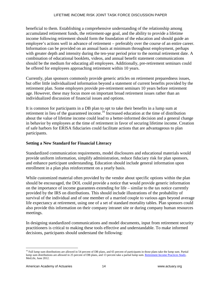#### LIFETIME INCOME RISK JOINT TASK FORCE DISCUSSION PAPER

beneficial to them. Establishing a comprehensive understanding of the relationship among accumulated retirement funds, the retirement-age goal, and the ability to provide a lifetime income following retirement should form the foundation of the education and should guide an employee's actions well in advance of retirement – preferably over the course of an entire career. Information can be provided on an annual basis at minimum throughout employment, perhaps with greater depth and intensity during the ten-year period prior to the normal retirement date. A combination of educational booklets, videos, and annual benefit statement communications should be the medium for educating all employees. Additionally, pre-retirement seminars could be offered for employees approaching retirement within 10 years.

Currently, plan sponsors commonly provide generic articles on retirement preparedness issues, but offer little individualized information beyond a statement of current benefits provided by the retirement plan. Some employers provide pre-retirement seminars 10 years before retirement age. However, these may focus more on important broad retirement issues rather than an individualized discussion of financial issues and options.

It is common for participants in a DB plan to opt to take their benefits in a lump sum at retirement in lieu of the guaranteed income.<sup>[16](#page-17-0)</sup> Increased education at the time of distribution about the value of lifetime income could lead to a better-informed decision and a general change in behavior by employees at the time of retirement in favor of securing lifetime income. Creation of safe harbors for ERISA fiduciaries could facilitate actions that are advantageous to plan participants.

#### **Setting a New Standard for Financial Literacy**

Standardized communication requirements, model disclosures and educational materials would provide uniform information, simplify administration, reduce fiduciary risk for plan sponsors, and enhance participant understanding. Education should include general information upon enrollment in a plan plus reinforcement on a yearly basis.

While customized material often provided by the vendor about specific options within the plan should be encouraged, the DOL could provide a notice that would provide generic information on the importance of income guarantees extending for life – similar to the tax notice currently provided by the IRS on distributions. This should include illustrations of the probability of survival of the individual and of one member of a married couple to various ages beyond average life expectancy at retirement, using one of a set of standard mortality tables. Plan sponsors could also provide this information on their company intranet site or during company human resources meetings.

In designing standardized communications and model documents, input from retirement security practitioners is critical to making these tools effective and understandable. To make informed decisions, participants should understand the following:

<span id="page-17-0"></span><sup>&</sup>lt;sup>16</sup> Full lump sum distributions are allowed in 54 percent of DB plans, and 65 percent of participants in those plans take the lump sum. Partial lump sum distributions are allowed in 25 percent of DB plans, and 13 percent take a partial lump sum. Retirement Income Practices Study, MetLife, June 2012.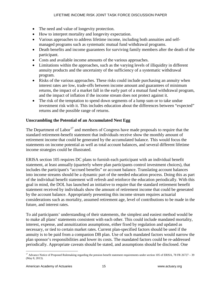- The need and value of longevity protection.
- How to interpret mortality and longevity expectation.
- Various approaches to address lifetime income, including both annuities and selfmanaged programs such as systematic mutual fund withdrawal programs.
- Death benefits and income guarantees for surviving family members after the death of the participant.
- Costs and available income amounts of the various approaches.
- Limitations within the approaches, such as the varying levels of illiquidity in different annuity products and the uncertainty of the sufficiency of a systematic withdrawal program.
- Risks of the various approaches. These risks could include purchasing an annuity when interest rates are low, trade-offs between income amount and guarantees of minimum returns, the impact of a market fall in the early part of a mutual fund withdrawal program, and the impact of inflation if the income stream does not protect against it.
- The risk of the temptation to spend down segments of a lump sum or to take undue investment risk with it. This includes education about the differences between "expected" returns and the possible range of returns.

# **Unscrambling the Potential of an Accumulated Nest Egg**

The Department of Labor<sup>[17](#page-18-0)</sup> and members of Congress have made proposals to require that the standard retirement-benefit statement that individuals receive show the monthly amount of retirement income that could be generated by the accumulated balance. This would focus the statements on income potential as well as total account balances, and several different lifetime income strategies could be illustrated.

ERISA section 105 requires DC plans to furnish each participant with an individual benefit statement, at least annually (quarterly where plan participants control investment choices), that includes the participant's "accrued benefits" or account balance. Translating account balances into income streams should be a dynamic part of the needed education process. Doing this as part of the individual benefit statement will refresh and reinforce the education periodically. With this goal in mind, the DOL has launched an initiative to require that the standard retirement benefit statement received by individuals show the amount of retirement income that could be generated by the account balance. Appropriately presenting this income stream requires actuarial considerations such as mortality, assumed retirement age, level of contributions to be made in the future, and interest rates.

To aid participants' understanding of their statements, the simplest and easiest method would be to make all plans' statements consistent with each other. This could include mandated mortality, interest, expense, and annuitization assumptions, either fixed by regulation and updated as necessary, or tied to certain market rates. Current plan-specified factors should be used if the annuity is to be paid from a companion DB plan. Use of such mandated factors would narrow the plan sponsor's responsibilities and lower its costs. The mandated factors could be re-addressed periodically. Appropriate caveats should be stated, and assumptions should be disclosed. One

<span id="page-18-0"></span><sup>&</sup>lt;sup>17</sup> Advance Notice of Proposed Rulemaking regarding the pension benefit statement requirements under section 105 of ERISA, 78 FR 26727 - 39 (May 8, 2013).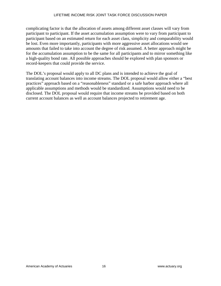complicating factor is that the allocation of assets among different asset classes will vary from participant to participant. If the asset accumulation assumption were to vary from participant to participant based on an estimated return for each asset class, simplicity and comparability would be lost. Even more importantly, participants with more aggressive asset allocations would see amounts that failed to take into account the degree of risk assumed. A better approach might be for the accumulation assumption to be the same for all participants and to mirror something like a high-quality bond rate. All possible approaches should be explored with plan sponsors or record-keepers that could provide the service.

The DOL's proposal would apply to all DC plans and is intended to achieve the goal of translating account balances into income streams. The DOL proposal would allow either a "best practices" approach based on a "reasonableness" standard or a safe harbor approach where all applicable assumptions and methods would be standardized. Assumptions would need to be disclosed. The DOL proposal would require that income streams be provided based on both current account balances as well as account balances projected to retirement age.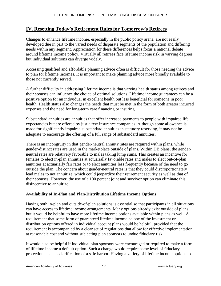# **IV. Resetting Today's Retirement Rules for Tomorrow's Retirees**

Changes to enhance lifetime income, especially in the public policy arena, are not easily developed due in part to the varied needs of disparate segments of the population and differing needs within any segment. Appreciation for these differences helps focus a national debate around lifetime income policy. Virtually all retirees face lifetime income risk in varying degrees, but individual solutions can diverge widely.

Accessing qualified and affordable planning advice often is difficult for those needing the advice to plan for lifetime incomes. It is important to make planning advice more broadly available to those not currently served.

A further difficulty in addressing lifetime income is that varying health status among retirees and their spouses can influence the choice of optimal solutions. Lifetime income guarantees can be a positive option for an individual in excellent health but less beneficial for someone in poor health. Health status also changes the needs that must be met in the form of both greater incurred expenses and the need for long-term care financing or insuring.

Substandard annuities are annuities that offer increased payments to people with impaired life expectancies but are offered by just a few insurance companies. Although some allowance is made for significantly impaired substandard annuities in statutory reserving, it may not be adequate to encourage the offering of a full range of substandard annuities.

There is an incongruity in that gender-neutral annuity rates are required within plans, while gender-distinct rates are used in the marketplace outside of plans. Within DB plans, the genderneutral rates are relatively favorable to males taking lump sums. This creates an incentive for females to elect in-plan annuities at actuarially favorable rates and males to elect out-of-plan annuities at actuarially fair rates or to elect annuities less frequently because of the need to go outside the plan. The concern about gender-neutral rates is that they could disproportionately lead males to not annuitize, which could jeopardize their retirement security as well as that of their spouses. However, the use of a 100 percent joint and survivor option can eliminate this disincentive to annuitize.

#### **Availability of In-Plan and Plan-Distribution Lifetime Income Options**

Having both in-plan and outside-of-plan solutions is essential so that participants in all situations can have access to lifetime income arrangements. Many options already exist outside of plans, but it would be helpful to have more lifetime income options available within plans as well. A requirement that some form of guaranteed lifetime income be one of the investment or distribution options offered in individual account plans would be helpful, provided that the requirement is accompanied by a clear set of regulations that allow for effective implementation at reasonable cost and without subjecting plan sponsors to undue fiduciary risk.

It would also be helpful if individual plan sponsors were encouraged or required to make a form of lifetime income a default option. Such a change would require some level of fiduciary protection, such as clarification of a safe harbor. Having a variety of lifetime income options to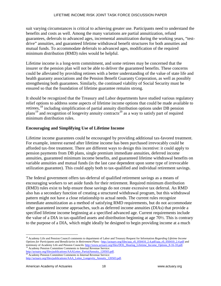suit varying circumstances is critical to achieving greater use. Participants need to understand the benefits and costs as well. Among the many variations are partial annuitization, refund guarantees, deferrals to advanced ages, incremental annuitization during the working years, "testdrive" annuities, and guaranteed lifetime withdrawal benefit structures for both annuities and mutual funds. To accommodate deferrals to advanced ages, modification of the required minimum distribution (RMD) rules would be helpful.

Lifetime income is a long-term commitment, and some retirees may be concerned that the insurer or the pension plan will not be able to deliver the guaranteed benefits. These concerns could be alleviated by providing retirees with a better understanding of the value of state life and health guaranty associations and the Pension Benefit Guaranty Corporation, as well as possibly strengthening both guarantees. Similarly, the continued viability of Social Security must be ensured so that the foundation of lifetime guarantee remains strong.

It should be recognized that the Treasury and Labor departments have studied various regulatory relief options to address some aspects of lifetime income options that could be made available to retirees,<sup>[18](#page-21-0)</sup> including simplification of partial annuity distribution options under DB pension plans<sup>[19](#page-21-1)</sup> and recognition of longevity annuity contracts<sup>[20](#page-21-2)</sup> as a way to satisfy part of required minimum distribution rules.

# **Encouraging and Simplifying Use of Lifetime Income**

Lifetime income guarantees could be encouraged by providing additional tax-favored treatment. For example, interest earned after lifetime income has been purchased irrevocably could be afforded tax-free treatment. There are different ways to design this incentive: it could apply to pension payments from DB plans, single premium immediate annuities, deferred income annuities, guaranteed minimum income benefits, and guaranteed lifetime withdrawal benefits on variable annuities and mutual funds (in the last case dependent upon some type of irrevocable utilization guarantee). This could apply both to tax-qualified and individual retirement savings.

The federal government offers tax-deferral of qualified retirement savings as a means of encouraging workers to set aside funds for their retirement. Required minimum distribution (RMD) rules exist to help ensure those savings do not create excessive tax deferral. An RMD also has a secondary function of creating a structured withdrawal program, but this withdrawal pattern might not have a close relationship to actual needs. The current rules recognize immediate annuitization as a method of satisfying RMD requirements, but do not accommodate other guaranteed income approaches, such as deferred income annuities (DIAs) that provide a specified lifetime income beginning at a specified advanced age. Current requirements include the value of a DIA in tax-qualified assets and distribution beginning at age 70½. This is contrary to the purpose of a DIA, which might ideally be designed to begin providing income at a much

<span id="page-21-1"></span>[http://actuary.org/files/publications/AAALetter\\_PartialAnnuity\\_120503.pdf.](http://actuary.org/files/publications/AAALetter_PartialAnnuity_120503.pdf) <sup>20</sup> Academy Pension Committee Comments to Internal Revenue Service:

<span id="page-21-0"></span> <sup>18</sup> Academy Life and Pension Council comments to department of Labor and Treasury Request for Information *Regarding Lifetime Income Options for Participants and Beneficiaries in Retirement Plans* - [http://actuary.org/files/aaa\\_rfi\\_050410\\_2.4.pdf/aaa\\_rfi\\_050410\\_2.4.pdf](http://actuary.org/files/aaa_rfi_050410_2.4.pdf/aaa_rfi_050410_2.4.pdf) and testimony of Academy Life and Pension Councils: [http://www.actuary.org/files/DOL\\_Hearing\\_Lifetime\\_Income\\_Options\\_8-16-10.pdf.](http://www.actuary.org/files/DOL_Hearing_Lifetime_Income_Options_8-16-10.pdf) <sup>19</sup> Academy Pension Committee Comments to Internal Revenue Service:

<span id="page-21-2"></span>[http://actuary.org/files/publications/AAA\\_Letter\\_Longevity\\_Annuity\\_120503.pdf.](http://actuary.org/files/publications/AAA_Letter_Longevity_Annuity_120503.pdf)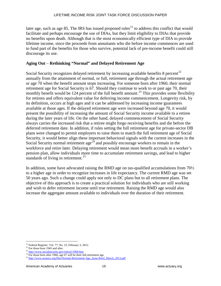later age, such as age 85. The IRS has issued proposed rules<sup>[21](#page-22-0)</sup> to address this conflict that would facilitate and perhaps encourage the use of DIAs, but they limit eligibility to DIAs that provide no benefits upon death. Although that is the most economically efficient type of DIA to provide lifetime income, since the proceeds from annuitants who die before income commences are used to fund part of the benefits for those who survive, potential lack of pre-income benefit could still discourage its use.

#### **Aging Out** – **Rethinking "Normal" and Delayed Retirement Age**

Social Security recognizes delayed retirement by increasing available benefits  $8$  percent<sup>[22](#page-22-1)</sup> annually from the attainment of normal, or full, retirement age through the actual retirement age or age 70 when the benefit amount stops increasing. For someone born after 1960, their normal retirement age for Social Security is 67. Should they continue to work to or past age 70, their monthly benefit would be 124 percent of the full benefit amount.<sup>[23](#page-22-2)</sup> This provides some flexibility for retirees and offers equivalent value for deferring income commencement. Longevity risk, by its definition, occurs at high ages and it can be addressed by increasing income guarantees available at those ages. If the delayed retirement age were increased beyond age 70, it would present the possibility of increasing the amount of Social Security income available to a retiree during the later years of life. On the other hand, delayed commencement of Social Security always carries the increased risk that a retiree might forgo receiving benefits and die before the deferred retirement date. In addition, if rules setting the full retirement age for private-sector DB plans were changed to permit employers to raise them to match the full retirement age of Social Security, it would better align these important behavioral signals with the current increases in the Social Security normal retirement  $\text{age}^{24}$  $\text{age}^{24}$  $\text{age}^{24}$  and possibly encourage workers to remain in the workforce and retire later. Delaying retirement would mean more benefit accruals in a worker's pension plan, allow individuals more time to accumulate retirement savings, and lead to higher standards of living in retirement. $^{25}$  $^{25}$  $^{25}$ 

In addition, some have advocated raising the RMD age on tax-qualified accumulations from  $70\frac{1}{2}$ to a higher age in order to recognize increases in life expectancy. The current RMD age was set 50 years ago. Such a change could apply not only to DC plans but to all retirement plans. The objective of this approach is to create a practical solution for individuals who are still working and wish to defer retirement income until true retirement. Raising the RMD age would also increase the aggregate amount available to individuals over the duration of their retirement.

<span id="page-22-2"></span>

<span id="page-22-1"></span><span id="page-22-0"></span><sup>&</sup>lt;sup>21</sup> Federal Register, Vol. 77, No. 23, February 3, 2012.<br><sup>22</sup> For those born 1943 and after.<br><sup>23</sup> [http://www.socialsecurity.gov/retire2/1960.htm.](http://www.socialsecurity.gov/retire2/1960.htm)<br><sup>24</sup> For those born after 1960, age 67 will be their full retirement age.

<span id="page-22-4"></span><span id="page-22-3"></span><sup>&</sup>lt;sup>25</sup> [http://www.actuary.org/files/Normal-Retirement-Age\\_Issue-Brief\\_March\\_2013.pdf.](http://www.actuary.org/files/Normal-Retirement-Age_Issue-Brief_March_2013.pdf)